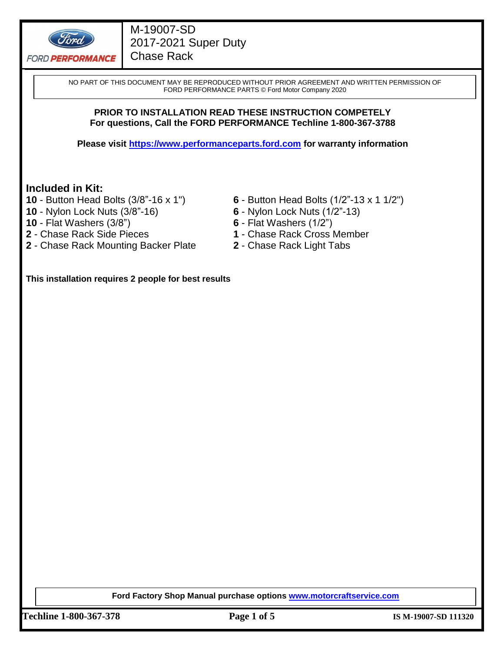

# M-19007-SD 2017-2021 Super Duty Chase Rack

NO PART OF THIS DOCUMENT MAY BE REPRODUCED WITHOUT PRIOR AGREEMENT AND WRITTEN PERMISSION OF FORD PERFORMANCE PARTS © Ford Motor Company 2020

#### **PRIOR TO INSTALLATION READ THESE INSTRUCTION COMPETELY For questions, Call the FORD PERFORMANCE Techline 1-800-367-3788**

**Please visit [https://www.performanceparts.ford.com](https://www.performanceparts.ford.com/) for warranty information**

### **Included in Kit:**

- 
- **10**  Nylon Lock Nuts (3/8"-16) **6**  Nylon Lock Nuts (1/2"-13)
- 
- **10**  Flat Washers (3/8") **6**  Flat Washers (1/2")
- **2**  Chase Rack Mounting Backer Plate **2**  Chase Rack Light Tabs
- **10**  Button Head Bolts (3/8"-16 x 1") **6**  Button Head Bolts (1/2"-13 x 1 1/2")
	-
	-
	- **1** Chase Rack Cross Member
	-

**This installation requires 2 people for best results**

**Ford Factory Shop Manual purchase options [www.motorcraftservice.com](http://www.motorcraftservice.com/)**

**Techline 1-800-367-378 Page 1 of 5 IS M-19007-SD 111320**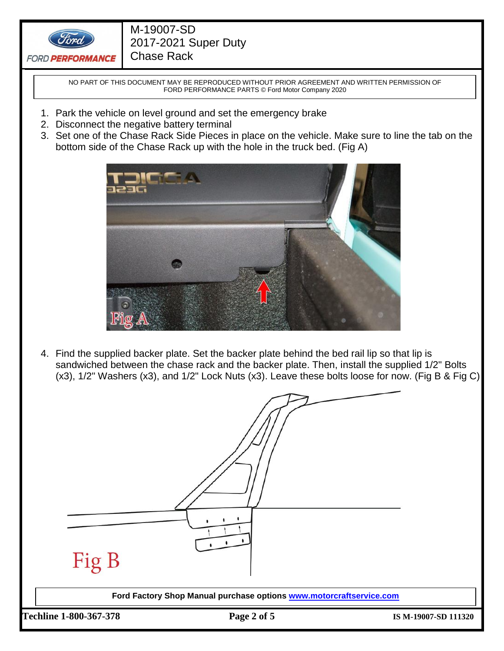

# M-19007-SD 2017-2021 Super Duty Chase Rack

NO PART OF THIS DOCUMENT MAY BE REPRODUCED WITHOUT PRIOR AGREEMENT AND WRITTEN PERMISSION OF FORD PERFORMANCE PARTS © Ford Motor Company 2020

- 1. Park the vehicle on level ground and set the emergency brake
- 2. Disconnect the negative battery terminal
- 3. Set one of the Chase Rack Side Pieces in place on the vehicle. Make sure to line the tab on the bottom side of the Chase Rack up with the hole in the truck bed. (Fig A)



4. Find the supplied backer plate. Set the backer plate behind the bed rail lip so that lip is sandwiched between the chase rack and the backer plate. Then, install the supplied 1/2" Bolts (x3), 1/2" Washers (x3), and 1/2" Lock Nuts (x3). Leave these bolts loose for now. (Fig B & Fig C)

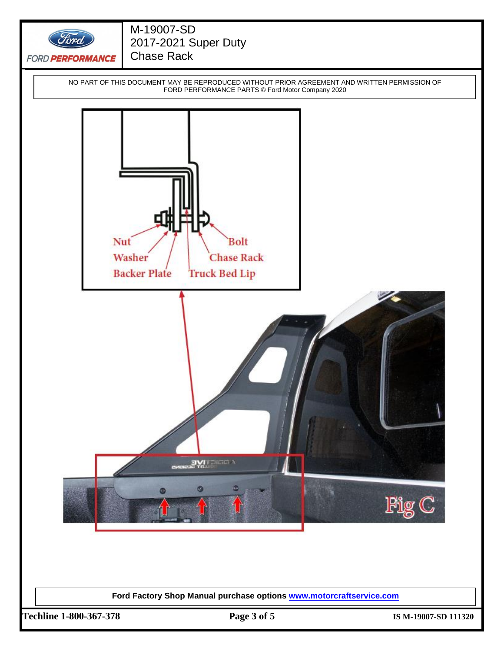

**Ford Factory Shop Manual purchase options [www.motorcraftservice.com](http://www.motorcraftservice.com/)**

**Techline 1-800-367-378 Page 3 of 5 IS M-19007-SD 111320**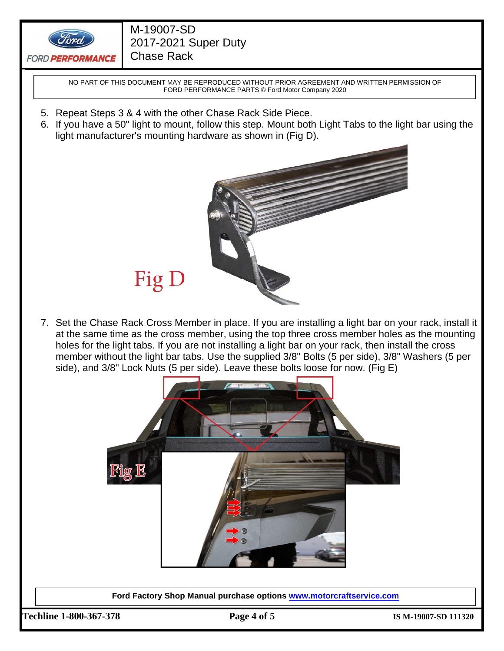

# M-19007-SD 2017-2021 Super Duty Chase Rack

NO PART OF THIS DOCUMENT MAY BE REPRODUCED WITHOUT PRIOR AGREEMENT AND WRITTEN PERMISSION OF FORD PERFORMANCE PARTS © Ford Motor Company 2020

- 5. Repeat Steps 3 & 4 with the other Chase Rack Side Piece.
- 6. If you have a 50" light to mount, follow this step. Mount both Light Tabs to the light bar using the light manufacturer's mounting hardware as shown in (Fig D).



- Fig D
- 7. Set the Chase Rack Cross Member in place. If you are installing a light bar on your rack, install it at the same time as the cross member, using the top three cross member holes as the mounting holes for the light tabs. If you are not installing a light bar on your rack, then install the cross member without the light bar tabs. Use the supplied 3/8" Bolts (5 per side), 3/8" Washers (5 per side), and 3/8" Lock Nuts (5 per side). Leave these bolts loose for now. (Fig E)



**Ford Factory Shop Manual purchase options [www.motorcraftservice.com](http://www.motorcraftservice.com/)**

**Techline 1-800-367-378 Page 4 of 5 IS M-19007-SD 111320**